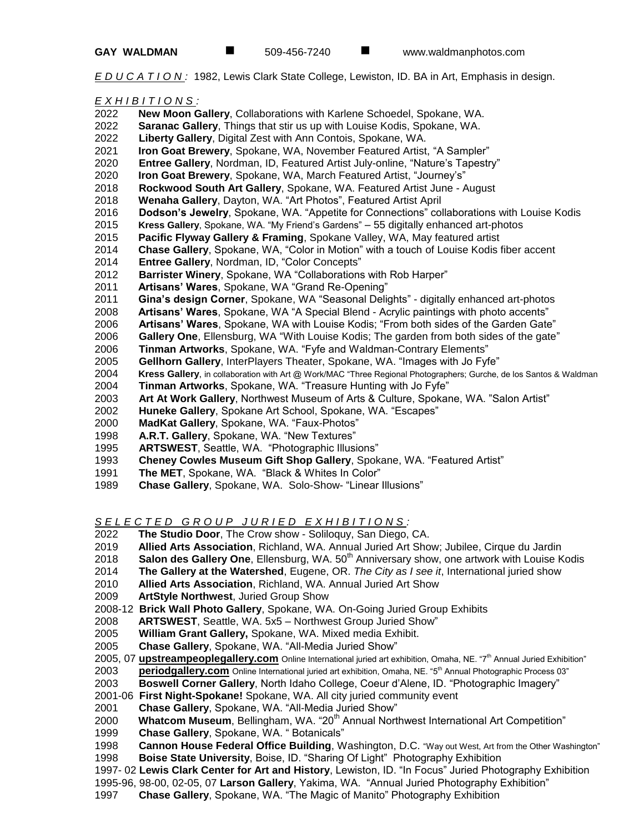*E D U C A T I O N :* 1982, Lewis Clark State College, Lewiston, ID. BA in Art, Emphasis in design.

### *E X H I B I T I O N S :*

- **New Moon Gallery**, Collaborations with Karlene Schoedel, Spokane, WA.
- **Saranac Gallery**, Things that stir us up with Louise Kodis, Spokane, WA.
- **Liberty Gallery**, Digital Zest with Ann Contois, Spokane, WA.
- **Iron Goat Brewery**, Spokane, WA, November Featured Artist, "A Sampler"
- **Entree Gallery**, Nordman, ID, Featured Artist July-online, "Nature's Tapestry"
- **Iron Goat Brewery**, Spokane, WA, March Featured Artist, "Journey's"
- **Rockwood South Art Gallery**, Spokane, WA. Featured Artist June August
- **Wenaha Gallery**, Dayton, WA. "Art Photos", Featured Artist April
- **Dodson's Jewelry**, Spokane, WA. "Appetite for Connections" collaborations with Louise Kodis
- **Kress Gallery**, Spokane, WA. "My Friend's Gardens" 55 digitally enhanced art-photos
- **Pacific Flyway Gallery & Framing**, Spokane Valley, WA, May featured artist
- **Chase Gallery**, Spokane, WA, "Color in Motion" with a touch of Louise Kodis fiber accent
- **Entree Gallery**, Nordman, ID, "Color Concepts"
- **Barrister Winery**, Spokane, WA "Collaborations with Rob Harper"
- **Artisans' Wares**, Spokane, WA "Grand Re-Opening"
- **Gina's design Corner**, Spokane, WA "Seasonal Delights" digitally enhanced art-photos
- **Artisans' Wares**, Spokane, WA "A Special Blend Acrylic paintings with photo accents"
- **Artisans' Wares**, Spokane, WA with Louise Kodis; "From both sides of the Garden Gate"
- **Gallery One**, Ellensburg, WA "With Louise Kodis; The garden from both sides of the gate"
- **Tinman Artworks**, Spokane, WA. "Fyfe and Waldman-Contrary Elements"
- **Gellhorn Gallery**, InterPlayers Theater, Spokane, WA. "Images with Jo Fyfe"
- **Kress Gallery**, in collaboration with Art @ Work/MAC "Three Regional Photographers; Gurche, de los Santos & Waldman
- **Tinman Artworks**, Spokane, WA. "Treasure Hunting with Jo Fyfe"
- **Art At Work Gallery**, Northwest Museum of Arts & Culture, Spokane, WA. "Salon Artist"
- **Huneke Gallery**, Spokane Art School, Spokane, WA. "Escapes"
- **MadKat Gallery**, Spokane, WA. "Faux-Photos"
- **A.R.T. Gallery**, Spokane, WA. "New Textures"
- **ARTSWEST**, Seattle, WA. "Photographic Illusions"
- **Cheney Cowles Museum Gift Shop Gallery**, Spokane, WA. "Featured Artist"
- **The MET**, Spokane, WA. "Black & Whites In Color"
- **Chase Gallery**, Spokane, WA. Solo-Show- "Linear Illusions"

S E L E C T E D G R O U P J U R I E D E X H I B I T I O N S :

- **The Studio Door**, The Crow show Soliloquy, San Diego, CA.
- **Allied Arts Association**, Richland, WA. Annual Juried Art Show; Jubilee, Cirque du Jardin
- 2018 **Salon des Gallery One**, Ellensburg, WA. 50<sup>th</sup> Anniversary show, one artwork with Louise Kodis
- **The Gallery at the Watershed**, Eugene, OR. *The City as I see it*, International juried show
- **Allied Arts Association**, Richland, WA. Annual Juried Art Show
- **ArtStyle Northwest**, Juried Group Show
- 2008-12 **Brick Wall Photo Gallery**, Spokane, WA. On-Going Juried Group Exhibits
- **ARTSWEST**, Seattle, WA. 5x5 Northwest Group Juried Show"
- **William Grant Gallery,** Spokane, WA. Mixed media Exhibit.
- **Chase Gallery**, Spokane, WA. "All-Media Juried Show"
- 2005, 07 **[upstreampeoplegallery.com](http://www.upstreampeoplegallery.com/)** Online International juried art exhibition, Omaha, NE. "7th Annual Juried Exhibition"
- 2003 **[periodgallery.com](http://www.periodgallery.com/)** Online International juried art exhibition, Omaha, NE. "5<sup>th</sup> Annual Photographic Process 03"
- **Boswell Corner Gallery**, North Idaho College, Coeur d'Alene, ID. "Photographic Imagery"
- 2001-06 **First Night-Spokane!** Spokane, WA. All city juried community event
- **Chase Gallery**, Spokane, WA. "All-Media Juried Show"
- 2000 **Whatcom Museum**, Bellingham, WA. "20<sup>th</sup> Annual Northwest International Art Competition"
- **Chase Gallery**, Spokane, WA. " Botanicals"
- **Cannon House Federal Office Building**, Washington, D.C. "Way out West, Art from the Other Washington"
- **Boise State University**, Boise, ID. "Sharing Of Light" Photography Exhibition
- 1997- 02 **Lewis Clark Center for Art and History**, Lewiston, ID. "In Focus" Juried Photography Exhibition
- 1995-96, 98-00, 02-05, 07 **Larson Gallery**, Yakima, WA. "Annual Juried Photography Exhibition"
- **Chase Gallery**, Spokane, WA. "The Magic of Manito" Photography Exhibition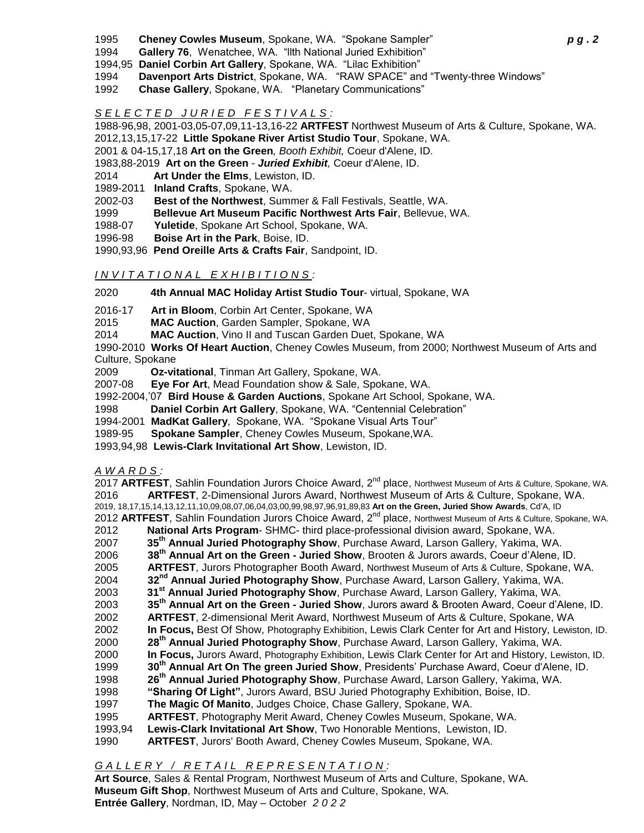- 1995 **Cheney Cowles Museum**, Spokane, WA. "Spokane Sampler" *p g . 2*
- 1994 **Gallery 76**, Wenatchee, WA. "llth National Juried Exhibition"
- 1994,95 **Daniel Corbin Art Gallery**, Spokane, WA. "Lilac Exhibition"
- 1994 **Davenport Arts District**, Spokane, WA. "RAW SPACE" and "Twenty-three Windows"
- 1992 **Chase Gallery**, Spokane, WA. "Planetary Communications"

# *S E L E C T E D J U R I E D F E S T I V A L S :*

1988-96,98, 2001-03,05-07,09,11-13,16-22 **ARTFEST** Northwest Museum of Arts & Culture, Spokane, WA. 2012,13,15,17-22 **Little Spokane River Artist Studio Tour**, Spokane, WA.

- 2001 & 04-15,17,18 **Art on the Green***, Booth Exhibit,* Coeur d'Alene, ID.
- 1983,88-2019 **Art on the Green** *Juried Exhibit,* Coeur d'Alene, ID.
- 2014 **Art Under the Elms**, Lewiston, ID.
- 1989-2011 **Inland Crafts**, Spokane, WA.
- 2002-03 **Best of the Northwest**, Summer & Fall Festivals, Seattle, WA.
- 1999 **Bellevue Art Museum Pacific Northwest Arts Fair**, Bellevue, WA.
- 1988-07 **Yuletide**, Spokane Art School, Spokane, WA.
- 1996-98 **Boise Art in the Park**, Boise, ID.
- 1990,93,96 **Pend Oreille Arts & Crafts Fair**, Sandpoint, ID.

## *I N V I T A T I O N A L E X H I B I T I O N S :*

2020 **4th Annual MAC Holiday Artist Studio Tour**- virtual, Spokane, WA

- 2016-17 **Art in Bloom**, Corbin Art Center, Spokane, WA
- 2015 **MAC Auction**, Garden Sampler, Spokane, WA
- 2014 **MAC Auction**, Vino II and Tuscan Garden Duet, Spokane, WA

1990-2010 **Works Of Heart Auction**, Cheney Cowles Museum, from 2000; Northwest Museum of Arts and Culture, Spokane

- 2009 **Oz-vitational**, Tinman Art Gallery, Spokane, WA.
- 2007-08 **Eye For Art**, Mead Foundation show & Sale, Spokane, WA.
- 1992-2004,'07 **Bird House & Garden Auctions**, Spokane Art School, Spokane, WA.
- 1998 **Daniel Corbin Art Gallery**, Spokane, WA. "Centennial Celebration"
- 1994-2001 **MadKat Gallery**, Spokane, WA. "Spokane Visual Arts Tour"
- 1989-95 **Spokane Sampler**, Cheney Cowles Museum, Spokane,WA.
- 1993,94,98 **Lewis-Clark Invitational Art Show**, Lewiston, ID.

## *A W A R D S :*

2017 ARTFEST, Sahlin Foundation Jurors Choice Award, 2<sup>nd</sup> place, Northwest Museum of Arts & Culture, Spokane, WA. **ARTFEST**, 2-Dimensional Jurors Award, Northwest Museum of Arts & Culture, Spokane, WA. 2019, 18,17,15,14,13,12,11,10,09,08,07,06,04,03,00,99,98,97,96,91,89,83 **Art on the Green, Juried Show Awards**, Cd'A, ID 2012 ARTFEST, Sahlin Foundation Jurors Choice Award, 2<sup>nd</sup> place, Northwest Museum of Arts & Culture, Spokane, WA. **National Arts Program**- SHMC- third place-professional division award, Spokane, WA. **35th Annual Juried Photography Show**, Purchase Award, Larson Gallery, Yakima, WA. **38th Annual Art on the Green - Juried Show**, Brooten & Jurors awards, Coeur d'Alene, ID. **ARTFEST**, Jurors Photographer Booth Award, Northwest Museum of Arts & Culture, Spokane, WA. **32nd Annual Juried Photography Show**, Purchase Award, Larson Gallery, Yakima, WA.  **31st Annual Juried Photography Show**, Purchase Award, Larson Gallery, Yakima, WA. **35th Annual Art on the Green - Juried Show**, Jurors award & Brooten Award, Coeur d'Alene, ID. **ARTFEST**, 2-dimensional Merit Award, Northwest Museum of Arts & Culture, Spokane, WA **In Focus,** Best Of Show, Photography Exhibition, Lewis Clark Center for Art and History, Lewiston, ID. **28th Annual Juried Photography Show**, Purchase Award, Larson Gallery, Yakima, WA. **In Focus,** Jurors Award, Photography Exhibition, Lewis Clark Center for Art and History, Lewiston, ID. **30th Annual Art On The green Juried Show**, Presidents' Purchase Award, Coeur d'Alene, ID. **26th Annual Juried Photography Show**, Purchase Award, Larson Gallery, Yakima, WA. **"Sharing Of Light"**, Jurors Award, BSU Juried Photography Exhibition, Boise, ID. **The Magic Of Manito**, Judges Choice, Chase Gallery, Spokane, WA. **ARTFEST**, Photography Merit Award, Cheney Cowles Museum, Spokane, WA. 1993,94 **Lewis-Clark Invitational Art Show**, Two Honorable Mentions, Lewiston, ID. **ARTFEST**, Jurors' Booth Award, Cheney Cowles Museum, Spokane, WA.

*GALLERY / RETAIL REPRESENTATION:* 

**Art Source**, Sales & Rental Program, Northwest Museum of Arts and Culture, Spokane, WA. **Museum Gift Shop**, Northwest Museum of Arts and Culture, Spokane, WA. **Entrée Gallery**, Nordman, ID, May – October *2022*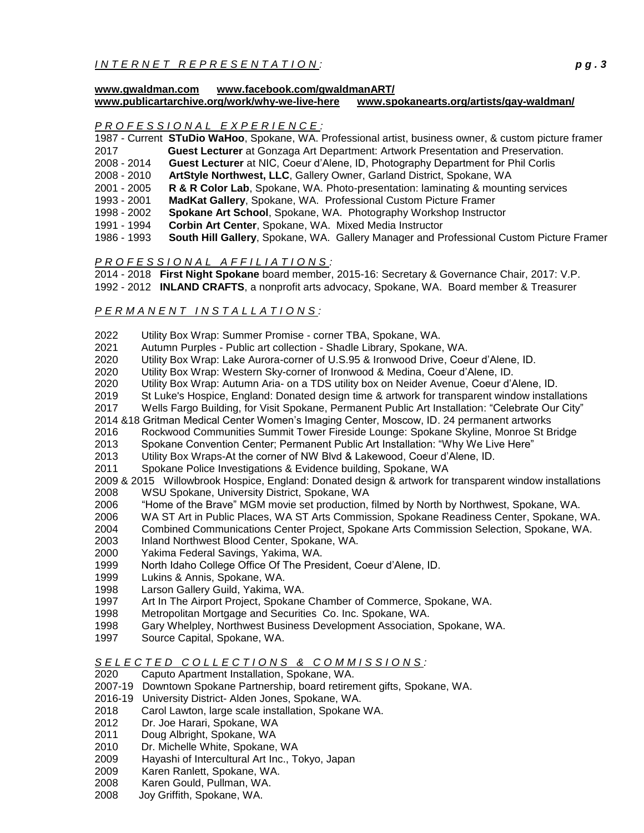## *I N T E R N E T R E P R E S E N T A T ION : p g . 3*

#### **www[.gwaldman.com](http://www.gwaldman.com/) <www.facebook.com/gwaldmanART/> [www.publicartarchive.org/work/why-we-live-here](http://www.publicartarchive.org/work/why-we-live-here) [www.spokanearts.org/artists/gay-waldman/](http://www.spokanearts.org/artists/gay-waldman/)**

### *P R O F E S S I O N A L E X P E R I E NCE :*

- 1987 Current **STuDio WaHoo**, Spokane, WA. Professional artist, business owner, & custom picture framer 2017 **Guest Lecturer** at Gonzaga Art Department: Artwork Presentation and Preservation.
- 2008 2014 **Guest Lecturer** at NIC, Coeur d'Alene, ID, Photography Department for Phil Corlis
- 2008 2010 **ArtStyle Northwest, LLC**, Gallery Owner, Garland District, Spokane, WA
- 2001 2005 **R & R Color Lab**, Spokane, WA. Photo-presentation: laminating & mounting services
- 1993 2001 **MadKat Gallery**, Spokane, WA. Professional Custom Picture Framer
- 1998 2002 **Spokane Art School**, Spokane, WA. Photography Workshop Instructor
- 1991 1994 **Corbin Art Center**, Spokane, WA. Mixed Media Instructor
- 1986 1993 **South Hill Gallery**, Spokane, WA. Gallery Manager and Professional Custom Picture Framer

### *P R O F E S S I O N A L A F F I L I A T I O N S :*

- 2014 2018 **First Night Spokane** board member, 2015-16: Secretary & Governance Chair, 2017: V.P.
- 1992 2012 **INLAND CRAFTS**, a nonprofit arts advocacy, Spokane, WA. Board member & Treasurer

### *P E R M A N E N T I N S T A L L A T I O N S :*

- 2022 Utility Box Wrap: Summer Promise corner TBA, Spokane, WA.
- 2021 Autumn Purples Public art collection Shadle Library, Spokane, WA.
- 2020 Utility Box Wrap: Lake Aurora-corner of U.S.95 & Ironwood Drive, Coeur d'Alene, ID.
- 2020 Utility Box Wrap: Western Sky-corner of Ironwood & Medina, Coeur d'Alene, ID.
- 2020 Utility Box Wrap: Autumn Aria- on a TDS utility box on Neider Avenue, Coeur d'Alene, ID.
- 2019 St Luke's Hospice, England: Donated design time & artwork for transparent window installations
- 2017 Wells Fargo Building, for Visit Spokane, Permanent Public Art Installation: "Celebrate Our City"
- 2014 &18 Gritman Medical Center Women's Imaging Center, Moscow, ID. 24 permanent artworks
- 2016 Rockwood Communities Summit Tower Fireside Lounge: Spokane Skyline, Monroe St Bridge
- 2013 Spokane Convention Center; Permanent Public Art Installation: "Why We Live Here"
- 2013 Utility Box Wraps-At the corner of NW Blvd & Lakewood, Coeur d'Alene, ID.
- 2011 Spokane Police Investigations & Evidence building, Spokane, WA
- 2009 & 2015 Willowbrook Hospice, England: Donated design & artwork for transparent window installations 2008 WSU Spokane, University District, Spokane, WA
- 2006 "Home of the Brave" MGM movie set production, filmed by North by Northwest, Spokane, WA.
- 2006 WA ST Art in Public Places, WA ST Arts Commission, Spokane Readiness Center, Spokane, WA.
- 2004 Combined Communications Center Project, Spokane Arts Commission Selection, Spokane, WA.
- 2003 Inland Northwest Blood Center, Spokane, WA.
- 2000 Yakima Federal Savings, Yakima, WA.
- 1999 North Idaho College Office Of The President, Coeur d'Alene, ID.
- 1999 Lukins & Annis, Spokane, WA.
- 1998 Larson Gallery Guild, Yakima, WA.
- 1997 Art In The Airport Project, Spokane Chamber of Commerce, Spokane, WA.
- 1998 Metropolitan Mortgage and Securities Co. Inc. Spokane, WA.
- 1998 Gary Whelpley, Northwest Business Development Association, Spokane, WA.
- 1997 Source Capital, Spokane, WA.

## *S E L E C T E D C O L L E C T I O N S & C O M M I S S I O N S :*

- 2020 Caputo Apartment Installation, Spokane, WA.
- 2007-19 Downtown Spokane Partnership, board retirement gifts, Spokane, WA.
- 2016-19 University District- Alden Jones, Spokane, WA.
- 2018 Carol Lawton, large scale installation, Spokane WA.
- 2012 Dr. Joe Harari, Spokane, WA
- 2011 Doug Albright, Spokane, WA
- 2010 Dr. Michelle White, Spokane, WA
- 2009 Hayashi of Intercultural Art Inc., Tokyo, Japan
- 2009 Karen Ranlett, Spokane, WA.
- 2008 Karen Gould, Pullman, WA.
- 2008 Joy Griffith, Spokane, WA.